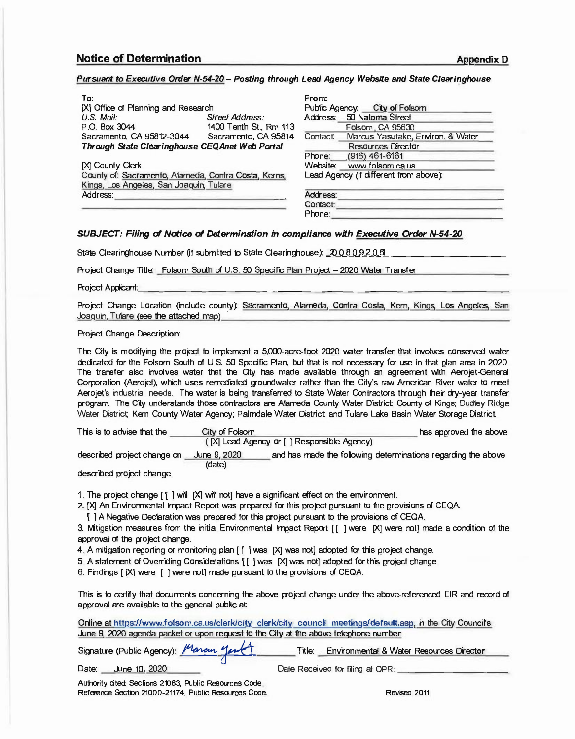## *Pursuant to EKecutive Order N-54-20 - Posting through Lead Agency Website and State Clearinghouse*

| To:                                                  |                        | From:                                  |                               |                                   |
|------------------------------------------------------|------------------------|----------------------------------------|-------------------------------|-----------------------------------|
| [X] Office of Planning and Research                  |                        |                                        | Public Agency: City of Folsom |                                   |
| $US$ Mail:                                           | Street Address:        |                                        |                               | Address: 50 Natoma Street         |
| P.O. Box 3044                                        | 1400 Tenth St., Rm 113 |                                        |                               | Folsom, CA 95630                  |
| Sacramento, CA 95812-3044                            | Sacramento, CA 95814   | Contact:                               |                               | Marcus Yasutake, Environ. & Water |
| Through State Clearinghouse CEQAnet Web Portal       |                        |                                        |                               | Resources Director                |
|                                                      |                        | Phone: (916) 461-6161                  |                               |                                   |
| [X] County Clerk                                     |                        |                                        |                               | Website: www.folsom.ca.us         |
| County of: Sacramento, Alameda, Contra Costa, Kerns, |                        | Lead Agency (if different from above): |                               |                                   |
| Kings, Los Angeles, San Joaquin, Tulare              |                        |                                        |                               |                                   |
| Address:                                             |                        | Address:                               |                               |                                   |
|                                                      | Contact:               |                                        |                               |                                   |

Phone:

## *SUBJECT: Filing of Notice of Determination in compliance with Executive Order N-54-20*

State Clearinghouse Number (if submitted to State Clearinghouse): 2008092051

Project Change Title: Folsom South of U.S. 50 Specific Plan Project - 2020 Water Transfer

Project Applicant:

Project Change Location (include county): Sacramento, Alameda, Contra Costa, Kern, Kings, Los Angeles, San Joaquin. Tulare (see the attached map) ·

## Project Change Description:

The City is modifying the project to implement a 5,000-acre-foot 2020 water transfer that involves conserved water dedicated for the Folsom South of U.S. 50 Specific Plan, but that is not necessary for use in that plan area in 2020. The transfer also involves water that the City has made available through an agreement with Aerojet-General Corporation (Aerojet), which uses remediated groundwater rather than the City's raw American River water to meet Aerojet's industrial needs. The water is being transferred to State Water Contractors through their dry-year transfer program. The City understands those contractors are Alameda County Water District; County of Kings; Dudley Ridge Water District; Kern County Water Agency; Palmdale Water District; and Tulare Lake Basin Water Storage District.

| This is to advise that the  | City of Folsom | has approved the above                                        |  |
|-----------------------------|----------------|---------------------------------------------------------------|--|
|                             |                | ([X] Lead Agency or [] Responsible Agency)                    |  |
| described project change on | June 9, 2020   | and has made the following determinations regarding the above |  |

(date)

described project change.

1. The project change [ [ ] will [X] will not] have a significant effect on the environment.

2. [X] An Environmental Impact Report was prepared for this project pursuant to the provisions of CEQA.

[ ] A Negative Declaration was prepared for this project pursuant to the provisions of CEQA.

3. Mitigation measures from the initial Environmental Impact Report [ [ ] were [X] were not] made a condition of the approval of the project change.

4. A mitigation reporting or monitoring plan [ [ ] was [X] was not] adopted for this project change.

5. A statement of Overriding Considerations [[ ] was [X] was not] adopted for this project change.

6. Findings [ [X] were [ ] were not] made pursuant to the provisions of CEQA.

This is to certify that documents concerning the above project change under the above-referenced EIR and record of approval are available to the general public at:

Online at https://www.folsom.ea.us/clerk/city clerk/city council meetings/default.asp. in the City Council's June 9. 2020 agenda packet or upon request to the City at the above telephone number

|       | Signature (Public Agency): Maran yart |  | Title: | Environmental & Water Resources Director |
|-------|---------------------------------------|--|--------|------------------------------------------|
| Date: | June 10, 2020                         |  |        | Date Received for filing at OPR:         |

Authority cited: Sections 21083, Public Resources Code. Reference Section 21000-21174, Public Resources Code. And Revised 2011